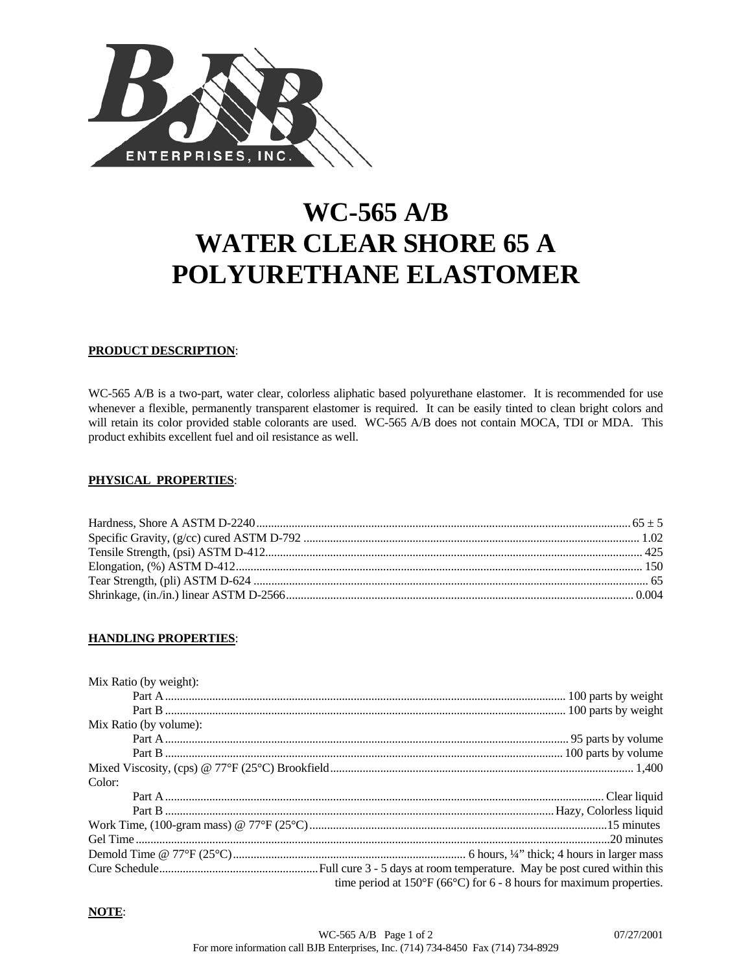

# **WC-565 A/B WATER CLEAR SHORE 65 A POLYURETHANE ELASTOMER**

# **PRODUCT DESCRIPTION**:

WC-565 A/B is a two-part, water clear, colorless aliphatic based polyurethane elastomer. It is recommended for use whenever a flexible, permanently transparent elastomer is required. It can be easily tinted to clean bright colors and will retain its color provided stable colorants are used. WC-565 A/B does not contain MOCA, TDI or MDA. This product exhibits excellent fuel and oil resistance as well.

# **PHYSICAL PROPERTIES**:

# **HANDLING PROPERTIES**:

| Mix Ratio (by weight): |                                                                                     |
|------------------------|-------------------------------------------------------------------------------------|
|                        |                                                                                     |
|                        |                                                                                     |
| Mix Ratio (by volume): |                                                                                     |
|                        |                                                                                     |
|                        |                                                                                     |
|                        |                                                                                     |
| Color:                 |                                                                                     |
|                        |                                                                                     |
|                        |                                                                                     |
|                        |                                                                                     |
|                        |                                                                                     |
|                        |                                                                                     |
|                        |                                                                                     |
|                        | time period at $150^{\circ}F (66^{\circ}C)$ for 6 - 8 hours for maximum properties. |